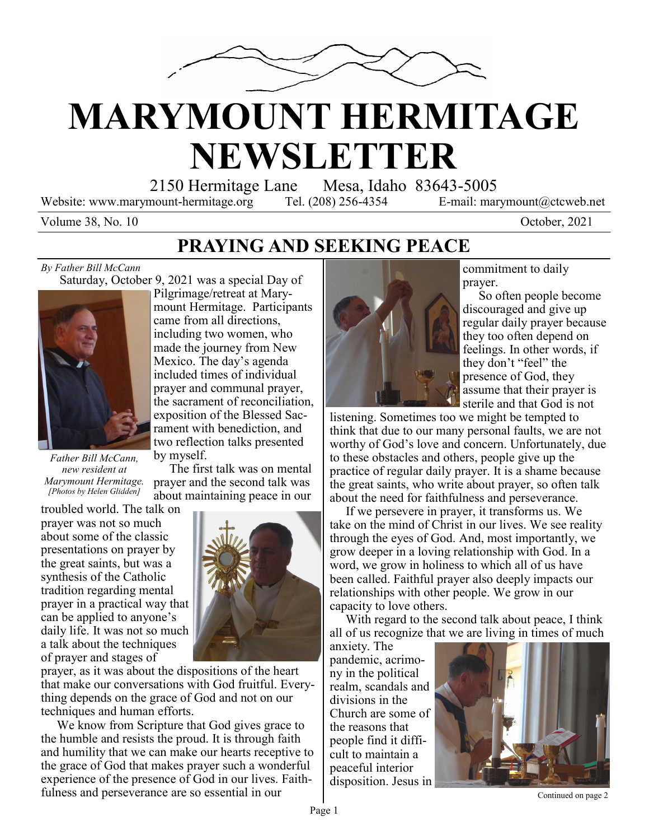

# **MARYMOUNT HERMITAGE NEWSLETTER**

2150 Hermitage Lane Mesa, Idaho 83643-5005

The first talk was on mental

Website: www.marymount-hermitage.org Tel. (208) 256-4354 E-mail: marymount@ctcweb.net

Volume 38, No. 10 October, 2021

### **PRAYING AND SEEKING PEACE**

#### *By Father Bill McCann*

 Saturday, October 9, 2021 was a special Day of Pilgrimage/retreat at Mary-



*Father Bill McCann, new resident at Marymount Hermitage. [Photos by Helen Glidden]*

prayer and the second talk was about maintaining peace in our troubled world. The talk on prayer was not so much about some of the classic presentations on prayer by the great saints, but was a synthesis of the Catholic

tradition regarding mental prayer in a practical way that can be applied to anyone's daily life. It was not so much a talk about the techniques

of prayer and stages of prayer, as it was about the dispositions of the heart that make our conversations with God fruitful. Everything depends on the grace of God and not on our techniques and human efforts.

 We know from Scripture that God gives grace to the humble and resists the proud. It is through faith and humility that we can make our hearts receptive to the grace of God that makes prayer such a wonderful experience of the presence of God in our lives. Faithfulness and perseverance are so essential in our



commitment to daily prayer.

 So often people become discouraged and give up regular daily prayer because they too often depend on feelings. In other words, if they don't "feel" the presence of God, they assume that their prayer is sterile and that God is not

listening. Sometimes too we might be tempted to think that due to our many personal faults, we are not worthy of God's love and concern. Unfortunately, due to these obstacles and others, people give up the practice of regular daily prayer. It is a shame because the great saints, who write about prayer, so often talk about the need for faithfulness and perseverance.

 If we persevere in prayer, it transforms us. We take on the mind of Christ in our lives. We see reality through the eyes of God. And, most importantly, we grow deeper in a loving relationship with God. In a word, we grow in holiness to which all of us have been called. Faithful prayer also deeply impacts our relationships with other people. We grow in our capacity to love others.

 With regard to the second talk about peace, I think all of us recognize that we are living in times of much

anxiety. The pandemic, acrimony in the political realm, scandals and divisions in the Church are some of the reasons that people find it difficult to maintain a peaceful interior disposition. Jesus in



Continued on page 2